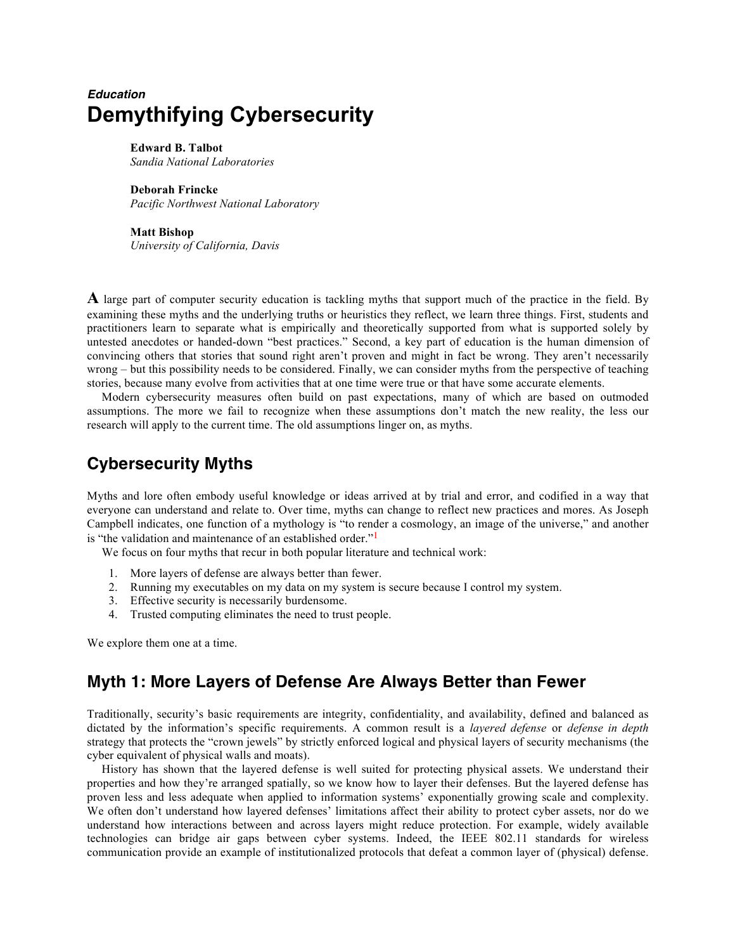# *Education* **Demythifying Cybersecurity**

**Edward B. Talbot** *Sandia National Laboratories*

#### **Deborah Frincke**

*Pacific Northwest National Laboratory*

### **Matt Bishop**

*University of California, Davis*

**A** large part of computer security education is tackling myths that support much of the practice in the field. By examining these myths and the underlying truths or heuristics they reflect, we learn three things. First, students and practitioners learn to separate what is empirically and theoretically supported from what is supported solely by untested anecdotes or handed-down "best practices." Second, a key part of education is the human dimension of convincing others that stories that sound right aren't proven and might in fact be wrong. They aren't necessarily wrong – but this possibility needs to be considered. Finally, we can consider myths from the perspective of teaching stories, because many evolve from activities that at one time were true or that have some accurate elements.

Modern cybersecurity measures often build on past expectations, many of which are based on outmoded assumptions. The more we fail to recognize when these assumptions don't match the new reality, the less our research will apply to the current time. The old assumptions linger on, as myths.

# **Cybersecurity Myths**

Myths and lore often embody useful knowledge or ideas arrived at by trial and error, and codified in a way that everyone can understand and relate to. Over time, myths can change to reflect new practices and mores. As Joseph Campbell indicates, one function of a mythology is "to render a cosmology, an image of the universe," and another is "the validation and maintenance of an established order."<sup>1</sup>

We focus on four myths that recur in both popular literature and technical work:

- 1. More layers of defense are always better than fewer.
- 2. Running my executables on my data on my system is secure because I control my system.
- 3. Effective security is necessarily burdensome.
- 4. Trusted computing eliminates the need to trust people.

We explore them one at a time.

# **Myth 1: More Layers of Defense Are Always Better than Fewer**

Traditionally, security's basic requirements are integrity, confidentiality, and availability, defined and balanced as dictated by the information's specific requirements. A common result is a *layered defense* or *defense in depth* strategy that protects the "crown jewels" by strictly enforced logical and physical layers of security mechanisms (the cyber equivalent of physical walls and moats).

History has shown that the layered defense is well suited for protecting physical assets. We understand their properties and how they're arranged spatially, so we know how to layer their defenses. But the layered defense has proven less and less adequate when applied to information systems' exponentially growing scale and complexity. We often don't understand how layered defenses' limitations affect their ability to protect cyber assets, nor do we understand how interactions between and across layers might reduce protection. For example, widely available technologies can bridge air gaps between cyber systems. Indeed, the IEEE 802.11 standards for wireless communication provide an example of institutionalized protocols that defeat a common layer of (physical) defense.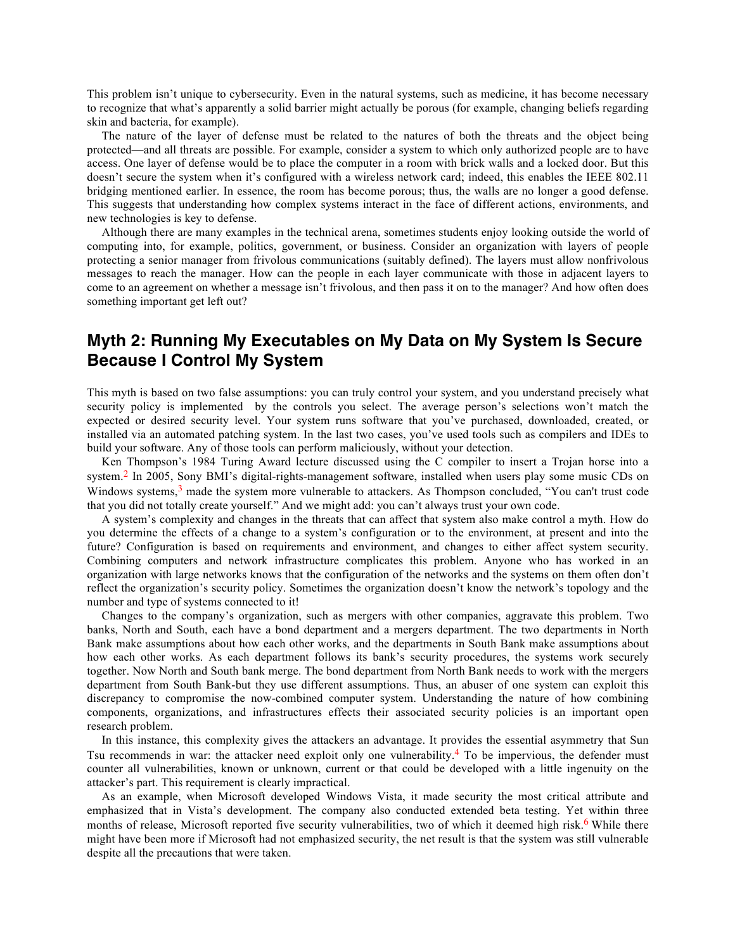This problem isn't unique to cybersecurity. Even in the natural systems, such as medicine, it has become necessary to recognize that what's apparently a solid barrier might actually be porous (for example, changing beliefs regarding skin and bacteria, for example).

The nature of the layer of defense must be related to the natures of both the threats and the object being protected—and all threats are possible. For example, consider a system to which only authorized people are to have access. One layer of defense would be to place the computer in a room with brick walls and a locked door. But this doesn't secure the system when it's configured with a wireless network card; indeed, this enables the IEEE 802.11 bridging mentioned earlier. In essence, the room has become porous; thus, the walls are no longer a good defense. This suggests that understanding how complex systems interact in the face of different actions, environments, and new technologies is key to defense.

Although there are many examples in the technical arena, sometimes students enjoy looking outside the world of computing into, for example, politics, government, or business. Consider an organization with layers of people protecting a senior manager from frivolous communications (suitably defined). The layers must allow nonfrivolous messages to reach the manager. How can the people in each layer communicate with those in adjacent layers to come to an agreement on whether a message isn't frivolous, and then pass it on to the manager? And how often does something important get left out?

# **Myth 2: Running My Executables on My Data on My System Is Secure Because I Control My System**

This myth is based on two false assumptions: you can truly control your system, and you understand precisely what security policy is implemented by the controls you select. The average person's selections won't match the expected or desired security level. Your system runs software that you've purchased, downloaded, created, or installed via an automated patching system. In the last two cases, you've used tools such as compilers and IDEs to build your software. Any of those tools can perform maliciously, without your detection.

Ken Thompson's 1984 Turing Award lecture discussed using the C compiler to insert a Trojan horse into a system.2 In 2005, Sony BMI's digital-rights-management software, installed when users play some music CDs on Windows systems,<sup>3</sup> made the system more vulnerable to attackers. As Thompson concluded, "You can't trust code that you did not totally create yourself." And we might add: you can't always trust your own code.

A system's complexity and changes in the threats that can affect that system also make control a myth. How do you determine the effects of a change to a system's configuration or to the environment, at present and into the future? Configuration is based on requirements and environment, and changes to either affect system security. Combining computers and network infrastructure complicates this problem. Anyone who has worked in an organization with large networks knows that the configuration of the networks and the systems on them often don't reflect the organization's security policy. Sometimes the organization doesn't know the network's topology and the number and type of systems connected to it!

Changes to the company's organization, such as mergers with other companies, aggravate this problem. Two banks, North and South, each have a bond department and a mergers department. The two departments in North Bank make assumptions about how each other works, and the departments in South Bank make assumptions about how each other works. As each department follows its bank's security procedures, the systems work securely together. Now North and South bank merge. The bond department from North Bank needs to work with the mergers department from South Bank-but they use different assumptions. Thus, an abuser of one system can exploit this discrepancy to compromise the now-combined computer system. Understanding the nature of how combining components, organizations, and infrastructures effects their associated security policies is an important open research problem.

In this instance, this complexity gives the attackers an advantage. It provides the essential asymmetry that Sun Tsu recommends in war: the attacker need exploit only one vulnerability.4 To be impervious, the defender must counter all vulnerabilities, known or unknown, current or that could be developed with a little ingenuity on the attacker's part. This requirement is clearly impractical.

As an example, when Microsoft developed Windows Vista, it made security the most critical attribute and emphasized that in Vista's development. The company also conducted extended beta testing. Yet within three months of release, Microsoft reported five security vulnerabilities, two of which it deemed high risk.<sup>6</sup> While there might have been more if Microsoft had not emphasized security, the net result is that the system was still vulnerable despite all the precautions that were taken.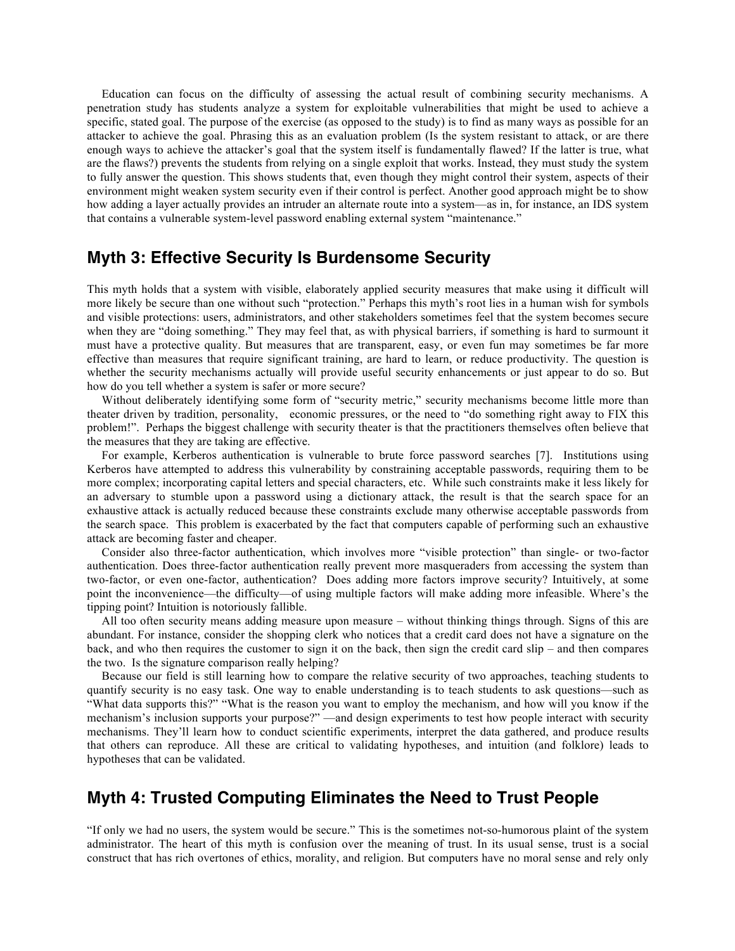Education can focus on the difficulty of assessing the actual result of combining security mechanisms. A penetration study has students analyze a system for exploitable vulnerabilities that might be used to achieve a specific, stated goal. The purpose of the exercise (as opposed to the study) is to find as many ways as possible for an attacker to achieve the goal. Phrasing this as an evaluation problem (Is the system resistant to attack, or are there enough ways to achieve the attacker's goal that the system itself is fundamentally flawed? If the latter is true, what are the flaws?) prevents the students from relying on a single exploit that works. Instead, they must study the system to fully answer the question. This shows students that, even though they might control their system, aspects of their environment might weaken system security even if their control is perfect. Another good approach might be to show how adding a layer actually provides an intruder an alternate route into a system—as in, for instance, an IDS system that contains a vulnerable system-level password enabling external system "maintenance."

### **Myth 3: Effective Security Is Burdensome Security**

This myth holds that a system with visible, elaborately applied security measures that make using it difficult will more likely be secure than one without such "protection." Perhaps this myth's root lies in a human wish for symbols and visible protections: users, administrators, and other stakeholders sometimes feel that the system becomes secure when they are "doing something." They may feel that, as with physical barriers, if something is hard to surmount it must have a protective quality. But measures that are transparent, easy, or even fun may sometimes be far more effective than measures that require significant training, are hard to learn, or reduce productivity. The question is whether the security mechanisms actually will provide useful security enhancements or just appear to do so. But how do you tell whether a system is safer or more secure?

Without deliberately identifying some form of "security metric," security mechanisms become little more than theater driven by tradition, personality, economic pressures, or the need to "do something right away to FIX this problem!". Perhaps the biggest challenge with security theater is that the practitioners themselves often believe that the measures that they are taking are effective.

For example, Kerberos authentication is vulnerable to brute force password searches [7]. Institutions using Kerberos have attempted to address this vulnerability by constraining acceptable passwords, requiring them to be more complex; incorporating capital letters and special characters, etc. While such constraints make it less likely for an adversary to stumble upon a password using a dictionary attack, the result is that the search space for an exhaustive attack is actually reduced because these constraints exclude many otherwise acceptable passwords from the search space. This problem is exacerbated by the fact that computers capable of performing such an exhaustive attack are becoming faster and cheaper.

Consider also three-factor authentication, which involves more "visible protection" than single- or two-factor authentication. Does three-factor authentication really prevent more masqueraders from accessing the system than two-factor, or even one-factor, authentication? Does adding more factors improve security? Intuitively, at some point the inconvenience—the difficulty—of using multiple factors will make adding more infeasible. Where's the tipping point? Intuition is notoriously fallible.

All too often security means adding measure upon measure – without thinking things through. Signs of this are abundant. For instance, consider the shopping clerk who notices that a credit card does not have a signature on the back, and who then requires the customer to sign it on the back, then sign the credit card slip – and then compares the two. Is the signature comparison really helping?

Because our field is still learning how to compare the relative security of two approaches, teaching students to quantify security is no easy task. One way to enable understanding is to teach students to ask questions—such as "What data supports this?" "What is the reason you want to employ the mechanism, and how will you know if the mechanism's inclusion supports your purpose?" —and design experiments to test how people interact with security mechanisms. They'll learn how to conduct scientific experiments, interpret the data gathered, and produce results that others can reproduce. All these are critical to validating hypotheses, and intuition (and folklore) leads to hypotheses that can be validated.

# **Myth 4: Trusted Computing Eliminates the Need to Trust People**

"If only we had no users, the system would be secure." This is the sometimes not-so-humorous plaint of the system administrator. The heart of this myth is confusion over the meaning of trust. In its usual sense, trust is a social construct that has rich overtones of ethics, morality, and religion. But computers have no moral sense and rely only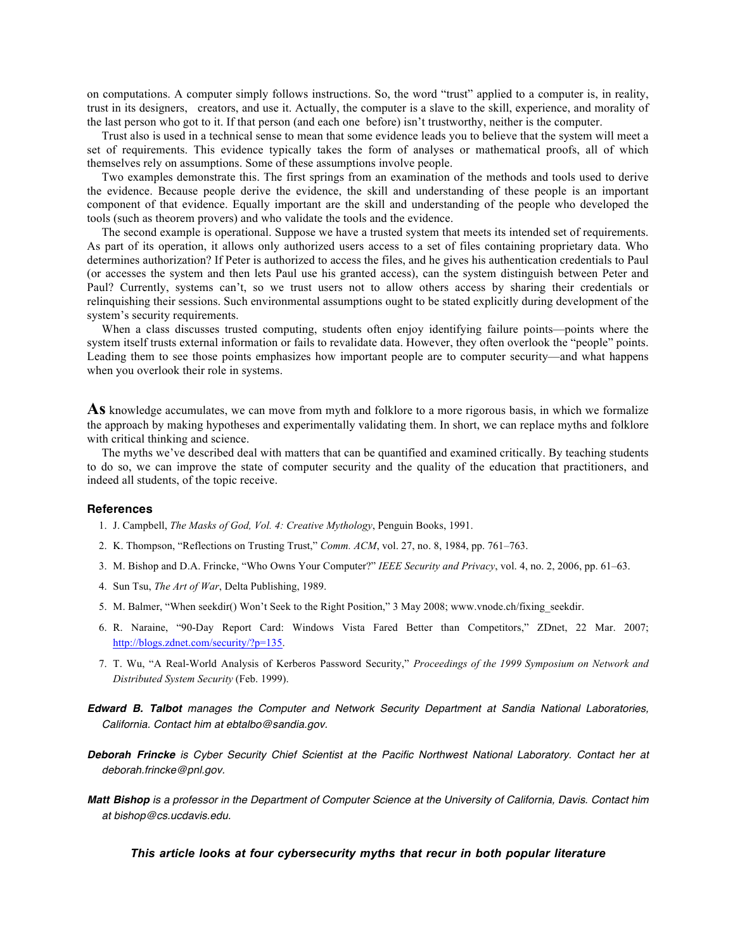on computations. A computer simply follows instructions. So, the word "trust" applied to a computer is, in reality, trust in its designers, creators, and use it. Actually, the computer is a slave to the skill, experience, and morality of the last person who got to it. If that person (and each one before) isn't trustworthy, neither is the computer.

Trust also is used in a technical sense to mean that some evidence leads you to believe that the system will meet a set of requirements. This evidence typically takes the form of analyses or mathematical proofs, all of which themselves rely on assumptions. Some of these assumptions involve people.

Two examples demonstrate this. The first springs from an examination of the methods and tools used to derive the evidence. Because people derive the evidence, the skill and understanding of these people is an important component of that evidence. Equally important are the skill and understanding of the people who developed the tools (such as theorem provers) and who validate the tools and the evidence.

The second example is operational. Suppose we have a trusted system that meets its intended set of requirements. As part of its operation, it allows only authorized users access to a set of files containing proprietary data. Who determines authorization? If Peter is authorized to access the files, and he gives his authentication credentials to Paul (or accesses the system and then lets Paul use his granted access), can the system distinguish between Peter and Paul? Currently, systems can't, so we trust users not to allow others access by sharing their credentials or relinquishing their sessions. Such environmental assumptions ought to be stated explicitly during development of the system's security requirements.

When a class discusses trusted computing, students often enjoy identifying failure points—points where the system itself trusts external information or fails to revalidate data. However, they often overlook the "people" points. Leading them to see those points emphasizes how important people are to computer security—and what happens when you overlook their role in systems.

As knowledge accumulates, we can move from myth and folklore to a more rigorous basis, in which we formalize the approach by making hypotheses and experimentally validating them. In short, we can replace myths and folklore with critical thinking and science.

The myths we've described deal with matters that can be quantified and examined critically. By teaching students to do so, we can improve the state of computer security and the quality of the education that practitioners, and indeed all students, of the topic receive.

#### **References**

- 1. J. Campbell, *The Masks of God, Vol. 4: Creative Mythology*, Penguin Books, 1991.
- 2. K. Thompson, "Reflections on Trusting Trust," *Comm. ACM*, vol. 27, no. 8, 1984, pp. 761–763.
- 3. M. Bishop and D.A. Frincke, "Who Owns Your Computer?" *IEEE Security and Privacy*, vol. 4, no. 2, 2006, pp. 61–63.
- 4. Sun Tsu, *The Art of War*, Delta Publishing, 1989.
- 5. M. Balmer, "When seekdir() Won't Seek to the Right Position," 3 May 2008; www.vnode.ch/fixing\_seekdir.
- 6. R. Naraine, "90-Day Report Card: Windows Vista Fared Better than Competitors," ZDnet, 22 Mar. 2007; <http://blogs.zdnet.com/security/?p=135>.
- 7. T. Wu, "A Real-World Analysis of Kerberos Password Security," *Proceedings of the 1999 Symposium on Network and Distributed System Security* (Feb. 1999).
- *Edward B. Talbot manages the Computer and Network Security Department at Sandia National Laboratories, California. Contact him at ebtalbo@sandia.gov.*
- *Deborah Frincke is Cyber Security Chief Scientist at the Pacific Northwest National Laboratory. Contact her at deborah.frincke@pnl.gov.*
- *Matt Bishop is a professor in the Department of Computer Science at the University of California, Davis. Contact him at bishop@cs.ucdavis.edu.*

### *This article looks at four cybersecurity myths that recur in both popular literature*